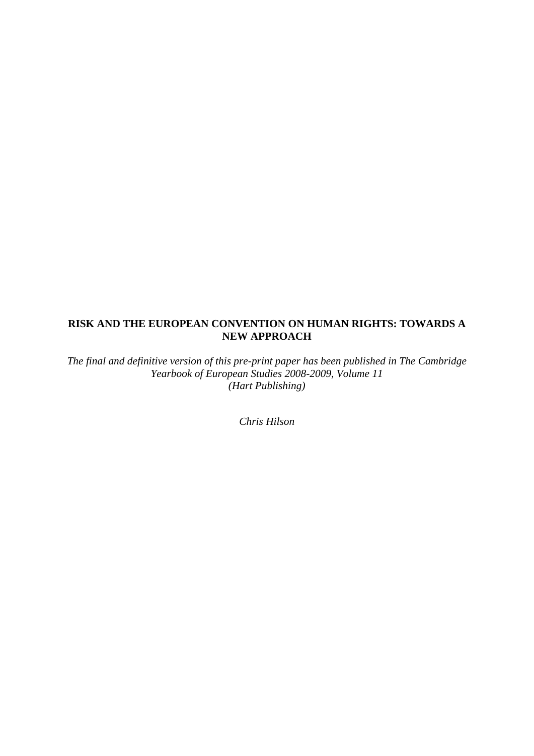## **RISK AND THE EUROPEAN CONVENTION ON HUMAN RIGHTS: TOWARDS A NEW APPROACH**

*The final and definitive version of this pre-print paper has been published in The Cambridge Yearbook of European Studies 2008-2009, Volume 11 (Hart Publishing)* 

*Chris Hilson*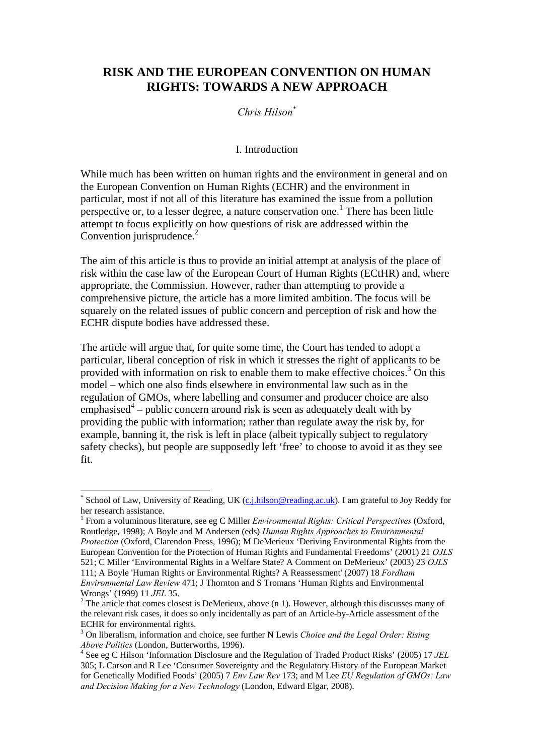# **RISK AND THE EUROPEAN CONVENTION ON HUMAN RIGHTS: TOWARDS A NEW APPROACH**

### *Chris Hilson*\*

#### I. Introduction

While much has been written on human rights and the environment in general and on the European Convention on Human Rights (ECHR) and the environment in particular, most if not all of this literature has examined the issue from a pollution perspective or, to a lesser degree, a nature conservation one.<sup>1</sup> There has been little attempt to focus explicitly on how questions of risk are addressed within the Convention jurisprudence.<sup>2</sup>

The aim of this article is thus to provide an initial attempt at analysis of the place of risk within the case law of the European Court of Human Rights (ECtHR) and, where appropriate, the Commission. However, rather than attempting to provide a comprehensive picture, the article has a more limited ambition. The focus will be squarely on the related issues of public concern and perception of risk and how the ECHR dispute bodies have addressed these.

The article will argue that, for quite some time, the Court has tended to adopt a particular, liberal conception of risk in which it stresses the right of applicants to be provided with information on risk to enable them to make effective choices.<sup>3</sup> On this model – which one also finds elsewhere in environmental law such as in the regulation of GMOs, where labelling and consumer and producer choice are also emphasised<sup>4</sup> – public concern around risk is seen as adequately dealt with by providing the public with information; rather than regulate away the risk by, for example, banning it, the risk is left in place (albeit typically subject to regulatory safety checks), but people are supposedly left 'free' to choose to avoid it as they see fit.

<sup>\*</sup> School of Law, University of Reading, UK (c.j.hilson@reading.ac.uk). I am grateful to Joy Reddy for her research assistance.

<sup>&</sup>lt;sup>1</sup> From a voluminous literature, see eg C Miller *Environmental Rights: Critical Perspectives* (Oxford, Routledge, 1998); A Boyle and M Andersen (eds) *Human Rights Approaches to Environmental Protection* (Oxford, Clarendon Press, 1996); M DeMerieux 'Deriving Environmental Rights from the European Convention for the Protection of Human Rights and Fundamental Freedoms' (2001) 21 *OJLS* 521; C Miller 'Environmental Rights in a Welfare State? A Comment on DeMerieux' (2003) 23 *OJLS* 111; A Boyle 'Human Rights or Environmental Rights? A Reassessment' (2007) 18 *Fordham Environmental Law Review* 471; J Thornton and S Tromans 'Human Rights and Environmental Wrongs' (1999) 11 *JEL* 35. 2

 $2$  The article that comes closest is DeMerieux, above (n 1). However, although this discusses many of the relevant risk cases, it does so only incidentally as part of an Article-by-Article assessment of the ECHR for environmental rights.

<sup>3</sup> On liberalism, information and choice, see further N Lewis *Choice and the Legal Order: Rising Above Politics* (London, Butterworths, 1996).

<sup>&</sup>lt;sup>4</sup> See eg C Hilson 'Information Disclosure and the Regulation of Traded Product Risks' (2005) 17 JEL 305; L Carson and R Lee 'Consumer Sovereignty and the Regulatory History of the European Market for Genetically Modified Foods' (2005) 7 *Env Law Rev* 173; and M Lee *EU Regulation of GMOs: Law and Decision Making for a New Technology* (London, Edward Elgar, 2008).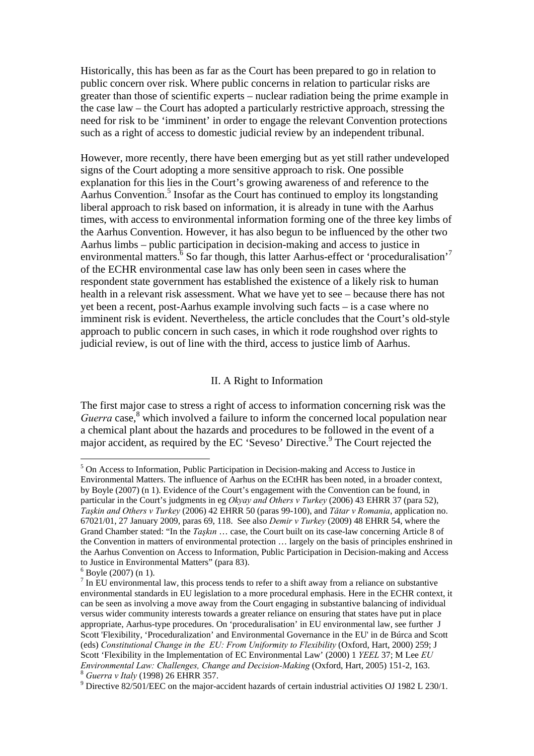Historically, this has been as far as the Court has been prepared to go in relation to public concern over risk. Where public concerns in relation to particular risks are greater than those of scientific experts – nuclear radiation being the prime example in the case law – the Court has adopted a particularly restrictive approach, stressing the need for risk to be 'imminent' in order to engage the relevant Convention protections such as a right of access to domestic judicial review by an independent tribunal.

However, more recently, there have been emerging but as yet still rather undeveloped signs of the Court adopting a more sensitive approach to risk. One possible explanation for this lies in the Court's growing awareness of and reference to the Aarhus Convention.<sup>5</sup> Insofar as the Court has continued to employ its longstanding liberal approach to risk based on information, it is already in tune with the Aarhus times, with access to environmental information forming one of the three key limbs of the Aarhus Convention. However, it has also begun to be influenced by the other two Aarhus limbs – public participation in decision-making and access to justice in environmental matters. $\frac{6}{6}$  So far though, this latter Aarhus-effect or 'proceduralisation'<sup>7</sup> of the ECHR environmental case law has only been seen in cases where the respondent state government has established the existence of a likely risk to human health in a relevant risk assessment. What we have yet to see – because there has not yet been a recent, post-Aarhus example involving such facts – is a case where no imminent risk is evident. Nevertheless, the article concludes that the Court's old-style approach to public concern in such cases, in which it rode roughshod over rights to judicial review, is out of line with the third, access to justice limb of Aarhus.

# II. A Right to Information

The first major case to stress a right of access to information concerning risk was the Guerra case,<sup>8</sup> which involved a failure to inform the concerned local population near a chemical plant about the hazards and procedures to be followed in the event of a major accident, as required by the EC 'Seveso' Directive.<sup>9</sup> The Court rejected the

<sup>&</sup>lt;sup>5</sup> On Access to Information, Public Participation in Decision-making and Access to Justice in Environmental Matters. The influence of Aarhus on the ECtHR has been noted, in a broader context, by Boyle (2007) (n 1). Evidence of the Court's engagement with the Convention can be found, in particular in the Court's judgments in eg *Okyay and Others v Turkey* (2006) 43 EHRR 37 (para 52), *Taşkin and Others v Turkey* (2006) 42 EHRR 50 (paras 99-100), and *Tǎtar v Romania*, application no. 67021/01, 27 January 2009, paras 69, 118. See also *Demir v Turkey* (2009) 48 EHRR 54, where the Grand Chamber stated: "In the *Taşkın* … case, the Court built on its case-law concerning Article 8 of the Convention in matters of environmental protection … largely on the basis of principles enshrined in the Aarhus Convention on Access to Information, Public Participation in Decision-making and Access to Justice in Environmental Matters" (para 83).

 $6$  Boyle (2007) (n 1).

 $<sup>7</sup>$  In EU environmental law, this process tends to refer to a shift away from a reliance on substantive</sup> environmental standards in EU legislation to a more procedural emphasis. Here in the ECHR context, it can be seen as involving a move away from the Court engaging in substantive balancing of individual versus wider community interests towards a greater reliance on ensuring that states have put in place appropriate, Aarhus-type procedures. On 'proceduralisation' in EU environmental law, see further J Scott 'Flexibility, 'Proceduralization' and Environmental Governance in the EU' in de Búrca and Scott (eds) *Constitutional Change in the EU: From Uniformity to Flexibility* (Oxford, Hart, 2000) 259; J Scott 'Flexibility in the Implementation of EC Environmental Law' (2000) 1 *YEEL* 37; M Lee *EU Environmental Law: Challenges, Change and Decision-Making* (Oxford, Hart, 2005) 151-2, 163. <sup>8</sup> *Guerra v Italy* (1998) 26 EHRR 357.

<sup>&</sup>lt;sup>9</sup> Directive 82/501/EEC on the major-accident hazards of certain industrial activities OJ 1982 L 230/1.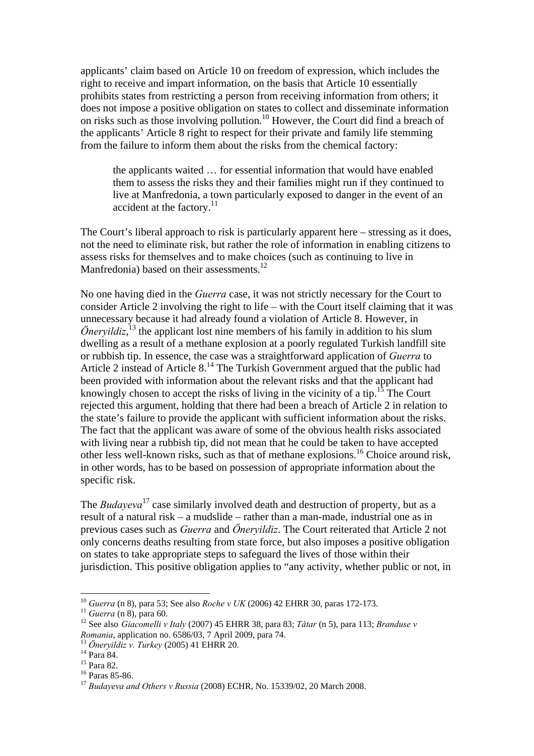applicants' claim based on Article 10 on freedom of expression, which includes the right to receive and impart information, on the basis that Article 10 essentially prohibits states from restricting a person from receiving information from others; it does not impose a positive obligation on states to collect and disseminate information on risks such as those involving pollution.10 However, the Court did find a breach of the applicants' Article 8 right to respect for their private and family life stemming from the failure to inform them about the risks from the chemical factory:

the applicants waited … for essential information that would have enabled them to assess the risks they and their families might run if they continued to live at Manfredonia, a town particularly exposed to danger in the event of an accident at the factory. $11$ 

The Court's liberal approach to risk is particularly apparent here – stressing as it does, not the need to eliminate risk, but rather the role of information in enabling citizens to assess risks for themselves and to make choices (such as continuing to live in Manfredonia) based on their assessments.<sup>12</sup>

No one having died in the *Guerra* case, it was not strictly necessary for the Court to consider Article 2 involving the right to life – with the Court itself claiming that it was unnecessary because it had already found a violation of Article 8. However, in *Öneryildiz*, 13 the applicant lost nine members of his family in addition to his slum dwelling as a result of a methane explosion at a poorly regulated Turkish landfill site or rubbish tip. In essence, the case was a straightforward application of *Guerra* to Article 2 instead of Article  $8^{14}$ . The Turkish Government argued that the public had been provided with information about the relevant risks and that the applicant had knowingly chosen to accept the risks of living in the vicinity of a tip.<sup>15</sup> The Court rejected this argument, holding that there had been a breach of Article 2 in relation to the state's failure to provide the applicant with sufficient information about the risks. The fact that the applicant was aware of some of the obvious health risks associated with living near a rubbish tip, did not mean that he could be taken to have accepted other less well-known risks, such as that of methane explosions.16 Choice around risk, in other words, has to be based on possession of appropriate information about the specific risk.

The *Budayeva*<sup>17</sup> case similarly involved death and destruction of property, but as a result of a natural risk – a mudslide – rather than a man-made, industrial one as in previous cases such as *Guerra* and *Öneryildiz*. The Court reiterated that Article 2 not only concerns deaths resulting from state force, but also imposes a positive obligation on states to take appropriate steps to safeguard the lives of those within their jurisdiction. This positive obligation applies to "any activity, whether public or not, in

<sup>&</sup>lt;sup>10</sup> Guerra (n 8), para 53; See also *Roche v UK* (2006) 42 EHRR 30, paras 172-173.<br><sup>11</sup> Guerra (n 8), para 60.<br><sup>12</sup> See also *Giacomelli v Italy* (2007) 45 EHRR 38, para 83; *Tătar* (n 5), para 113; *Branduse v Romania*,

<sup>&</sup>lt;sup>13</sup> *Öneryildiz v. Turkey* (2005) 41 EHRR 20. <sup>14</sup> Para 84.

 $15$  Para 82.

<sup>16</sup> Paras 85-86.

<sup>17</sup> *Budayeva and Others v Russia* (2008) ECHR, No. 15339/02, 20 March 2008.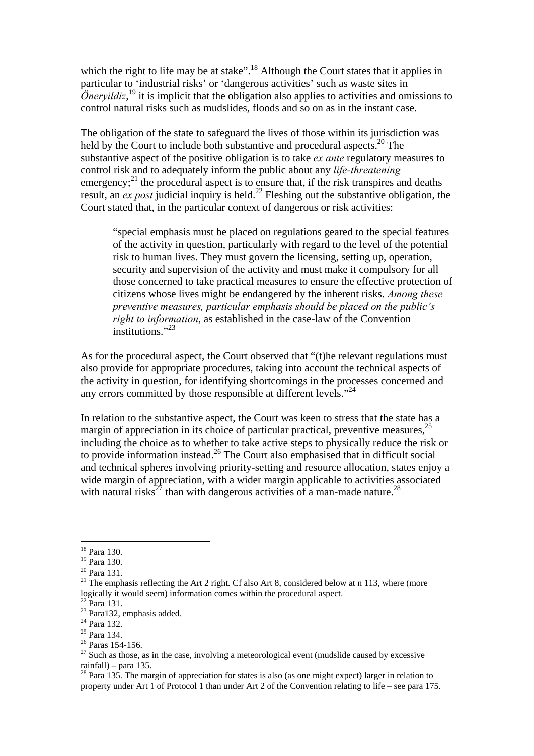which the right to life may be at stake".<sup>18</sup> Although the Court states that it applies in particular to 'industrial risks' or 'dangerous activities' such as waste sites in *Öneryildiz*, 19 it is implicit that the obligation also applies to activities and omissions to control natural risks such as mudslides, floods and so on as in the instant case.

The obligation of the state to safeguard the lives of those within its jurisdiction was held by the Court to include both substantive and procedural aspects.<sup>20</sup> The substantive aspect of the positive obligation is to take *ex ante* regulatory measures to control risk and to adequately inform the public about any *life-threatening* emergency;<sup>21</sup> the procedural aspect is to ensure that, if the risk transpires and deaths result, an *ex post* judicial inquiry is held.<sup>22</sup> Fleshing out the substantive obligation, the Court stated that, in the particular context of dangerous or risk activities:

"special emphasis must be placed on regulations geared to the special features of the activity in question, particularly with regard to the level of the potential risk to human lives. They must govern the licensing, setting up, operation, security and supervision of the activity and must make it compulsory for all those concerned to take practical measures to ensure the effective protection of citizens whose lives might be endangered by the inherent risks. *Among these preventive measures, particular emphasis should be placed on the public's right to information*, as established in the case-law of the Convention institutions. $^{1,23}$ 

As for the procedural aspect, the Court observed that "(t)he relevant regulations must also provide for appropriate procedures, taking into account the technical aspects of the activity in question, for identifying shortcomings in the processes concerned and any errors committed by those responsible at different levels."<sup>24</sup>

In relation to the substantive aspect, the Court was keen to stress that the state has a margin of appreciation in its choice of particular practical, preventive measures, <sup>25</sup> including the choice as to whether to take active steps to physically reduce the risk or to provide information instead.<sup>26</sup> The Court also emphasised that in difficult social and technical spheres involving priority-setting and resource allocation, states enjoy a wide margin of appreciation, with a wider margin applicable to activities associated with natural risks<sup>27</sup> than with dangerous activities of a man-made nature.<sup>28</sup>

<sup>18</sup> Para 130.

<sup>&</sup>lt;sup>19</sup> Para 130.

<sup>20</sup> Para 131.

<sup>&</sup>lt;sup>21</sup> The emphasis reflecting the Art 2 right. Cf also Art 8, considered below at n 113, where (more logically it would seem) information comes within the procedural aspect.<br><sup>22</sup> Para 131.

<sup>&</sup>lt;sup>23</sup> Para132, emphasis added.

<sup>24</sup> Para 132.

<sup>25</sup> Para 134.

<sup>26</sup> Paras 154-156.

<sup>&</sup>lt;sup>27</sup> Such as those, as in the case, involving a meteorological event (mudslide caused by excessive rainfall) – para 135.

<sup>&</sup>lt;sup>28</sup> Para 135. The margin of appreciation for states is also (as one might expect) larger in relation to property under Art 1 of Protocol 1 than under Art 2 of the Convention relating to life – see para 175.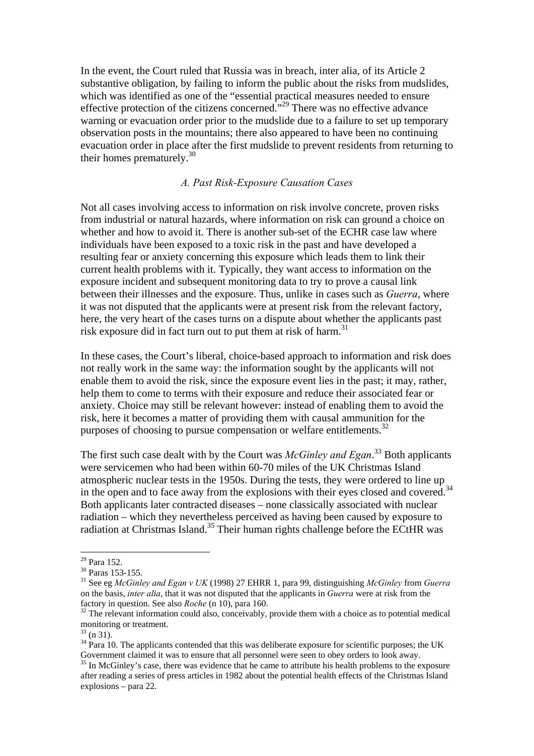In the event, the Court ruled that Russia was in breach, inter alia, of its Article 2 substantive obligation, by failing to inform the public about the risks from mudslides, which was identified as one of the "essential practical measures needed to ensure effective protection of the citizens concerned."29 There was no effective advance warning or evacuation order prior to the mudslide due to a failure to set up temporary observation posts in the mountains; there also appeared to have been no continuing evacuation order in place after the first mudslide to prevent residents from returning to their homes prematurely.<sup>30</sup>

## *A. Past Risk-Exposure Causation Cases*

Not all cases involving access to information on risk involve concrete, proven risks from industrial or natural hazards, where information on risk can ground a choice on whether and how to avoid it. There is another sub-set of the ECHR case law where individuals have been exposed to a toxic risk in the past and have developed a resulting fear or anxiety concerning this exposure which leads them to link their current health problems with it. Typically, they want access to information on the exposure incident and subsequent monitoring data to try to prove a causal link between their illnesses and the exposure. Thus, unlike in cases such as *Guerra*, where it was not disputed that the applicants were at present risk from the relevant factory, here, the very heart of the cases turns on a dispute about whether the applicants past risk exposure did in fact turn out to put them at risk of harm.<sup>31</sup>

In these cases, the Court's liberal, choice-based approach to information and risk does not really work in the same way: the information sought by the applicants will not enable them to avoid the risk, since the exposure event lies in the past; it may, rather, help them to come to terms with their exposure and reduce their associated fear or anxiety. Choice may still be relevant however: instead of enabling them to avoid the risk, here it becomes a matter of providing them with causal ammunition for the purposes of choosing to pursue compensation or welfare entitlements.<sup>32</sup>

The first such case dealt with by the Court was *McGinley and Egan*. 33 Both applicants were servicemen who had been within 60-70 miles of the UK Christmas Island atmospheric nuclear tests in the 1950s. During the tests, they were ordered to line up in the open and to face away from the explosions with their eyes closed and covered. $34$ Both applicants later contracted diseases – none classically associated with nuclear radiation – which they nevertheless perceived as having been caused by exposure to radiation at Christmas Island.35 Their human rights challenge before the ECtHR was

<sup>29</sup> Para 152.

<sup>30</sup> Paras 153-155.

<sup>31</sup> See eg *McGinley and Egan v UK* (1998) 27 EHRR 1, para 99, distinguishing *McGinley* from *Guerra* on the basis, *inter alia*, that it was not disputed that the applicants in *Guerra* were at risk from the factory in question. See also *Roche* (n 10), para 160.<br><sup>32</sup> The relevant information could also, conceivably, provide them with a choice as to potential medical

monitoring or treatment.

 $33$  (n 31).

 $34$  Para 10. The applicants contended that this was deliberate exposure for scientific purposes; the UK Government claimed it was to ensure that all personnel were seen to obey orders to look away.<br><sup>35</sup> In McGinley's case, there was evidence that he came to attribute his health problems to the exposure

after reading a series of press articles in 1982 about the potential health effects of the Christmas Island explosions – para 22.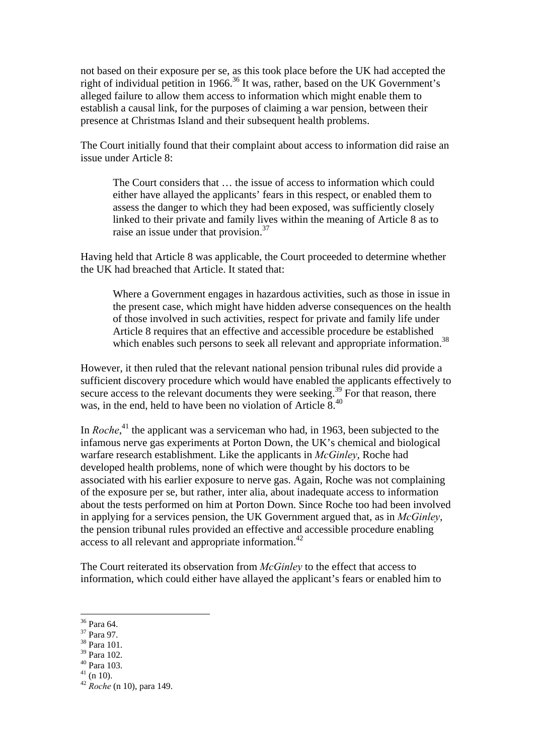not based on their exposure per se, as this took place before the UK had accepted the right of individual petition in 1966.<sup>36</sup> It was, rather, based on the UK Government's alleged failure to allow them access to information which might enable them to establish a causal link, for the purposes of claiming a war pension, between their presence at Christmas Island and their subsequent health problems.

The Court initially found that their complaint about access to information did raise an issue under Article 8:

The Court considers that … the issue of access to information which could either have allayed the applicants' fears in this respect, or enabled them to assess the danger to which they had been exposed, was sufficiently closely linked to their private and family lives within the meaning of Article 8 as to raise an issue under that provision.<sup>37</sup>

Having held that Article 8 was applicable, the Court proceeded to determine whether the UK had breached that Article. It stated that:

Where a Government engages in hazardous activities, such as those in issue in the present case, which might have hidden adverse consequences on the health of those involved in such activities, respect for private and family life under Article 8 requires that an effective and accessible procedure be established which enables such persons to seek all relevant and appropriate information.<sup>38</sup>

However, it then ruled that the relevant national pension tribunal rules did provide a sufficient discovery procedure which would have enabled the applicants effectively to secure access to the relevant documents they were seeking.<sup>39</sup> For that reason, there was, in the end, held to have been no violation of Article  $8^{40}$ 

In *Roche*,<sup>41</sup> the applicant was a serviceman who had, in 1963, been subjected to the infamous nerve gas experiments at Porton Down, the UK's chemical and biological warfare research establishment. Like the applicants in *McGinley*, Roche had developed health problems, none of which were thought by his doctors to be associated with his earlier exposure to nerve gas. Again, Roche was not complaining of the exposure per se, but rather, inter alia, about inadequate access to information about the tests performed on him at Porton Down. Since Roche too had been involved in applying for a services pension, the UK Government argued that, as in *McGinley*, the pension tribunal rules provided an effective and accessible procedure enabling access to all relevant and appropriate information.<sup>42</sup>

The Court reiterated its observation from *McGinley* to the effect that access to information, which could either have allayed the applicant's fears or enabled him to

<sup>36</sup> Para 64.

<sup>37</sup> Para 97.

<sup>38</sup> Para 101.

<sup>39</sup> Para 102.

 $^{40}$  Para 103.<br> $^{41}$  (n 10).

<sup>41</sup> (n 10). 42 *Roche* (n 10), para 149.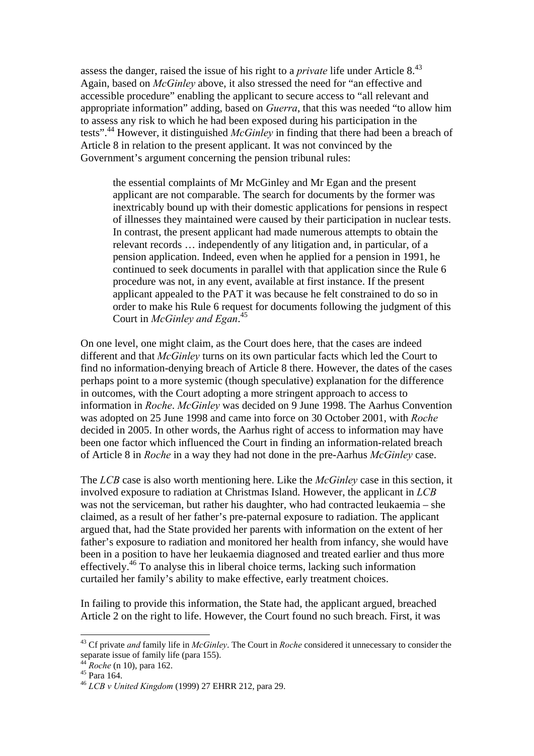assess the danger, raised the issue of his right to a *private* life under Article 8.43 Again, based on *McGinley* above, it also stressed the need for "an effective and accessible procedure" enabling the applicant to secure access to "all relevant and appropriate information" adding, based on *Guerra*, that this was needed "to allow him to assess any risk to which he had been exposed during his participation in the tests".44 However, it distinguished *McGinley* in finding that there had been a breach of Article 8 in relation to the present applicant. It was not convinced by the Government's argument concerning the pension tribunal rules:

the essential complaints of Mr McGinley and Mr Egan and the present applicant are not comparable. The search for documents by the former was inextricably bound up with their domestic applications for pensions in respect of illnesses they maintained were caused by their participation in nuclear tests. In contrast, the present applicant had made numerous attempts to obtain the relevant records … independently of any litigation and, in particular, of a pension application. Indeed, even when he applied for a pension in 1991, he continued to seek documents in parallel with that application since the Rule 6 procedure was not, in any event, available at first instance. If the present applicant appealed to the PAT it was because he felt constrained to do so in order to make his Rule 6 request for documents following the judgment of this Court in *McGinley and Egan*. 45

On one level, one might claim, as the Court does here, that the cases are indeed different and that *McGinley* turns on its own particular facts which led the Court to find no information-denying breach of Article 8 there. However, the dates of the cases perhaps point to a more systemic (though speculative) explanation for the difference in outcomes, with the Court adopting a more stringent approach to access to information in *Roche*. *McGinley* was decided on 9 June 1998. The Aarhus Convention was adopted on 25 June 1998 and came into force on 30 October 2001, with *Roche* decided in 2005. In other words, the Aarhus right of access to information may have been one factor which influenced the Court in finding an information-related breach of Article 8 in *Roche* in a way they had not done in the pre-Aarhus *McGinley* case.

The *LCB* case is also worth mentioning here. Like the *McGinley* case in this section, it involved exposure to radiation at Christmas Island. However, the applicant in *LCB* was not the serviceman, but rather his daughter, who had contracted leukaemia – she claimed, as a result of her father's pre-paternal exposure to radiation. The applicant argued that, had the State provided her parents with information on the extent of her father's exposure to radiation and monitored her health from infancy, she would have been in a position to have her leukaemia diagnosed and treated earlier and thus more effectively.<sup>46</sup> To analyse this in liberal choice terms, lacking such information curtailed her family's ability to make effective, early treatment choices.

In failing to provide this information, the State had, the applicant argued, breached Article 2 on the right to life. However, the Court found no such breach. First, it was

<sup>43</sup> Cf private *and* family life in *McGinley*. The Court in *Roche* considered it unnecessary to consider the separate issue of family life (para 155).

<sup>44</sup> *Roche* (n 10), para 162. 45 Para 164.

<sup>46</sup> *LCB v United Kingdom* (1999) 27 EHRR 212, para 29.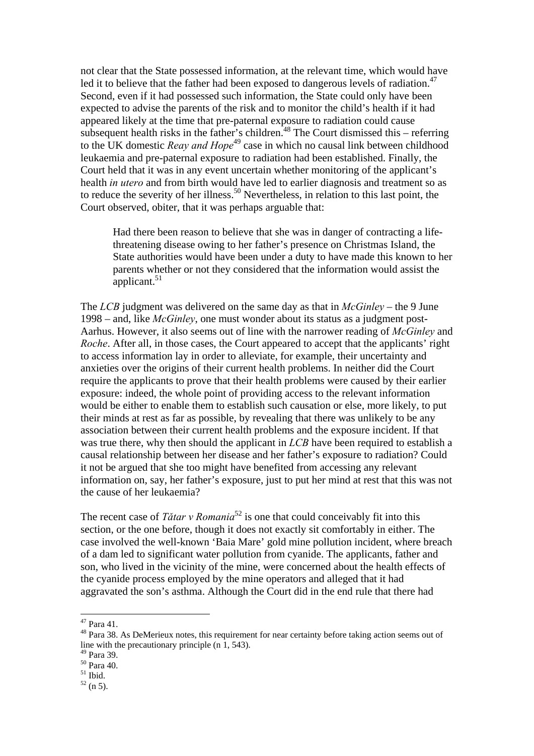not clear that the State possessed information, at the relevant time, which would have led it to believe that the father had been exposed to dangerous levels of radiation. $47$ Second, even if it had possessed such information, the State could only have been expected to advise the parents of the risk and to monitor the child's health if it had appeared likely at the time that pre-paternal exposure to radiation could cause subsequent health risks in the father's children.<sup>48</sup> The Court dismissed this – referring to the UK domestic *Reay and Hope*<sup>49</sup> case in which no causal link between childhood leukaemia and pre-paternal exposure to radiation had been established. Finally, the Court held that it was in any event uncertain whether monitoring of the applicant's health *in utero* and from birth would have led to earlier diagnosis and treatment so as to reduce the severity of her illness.<sup>50</sup> Nevertheless, in relation to this last point, the Court observed, obiter, that it was perhaps arguable that:

Had there been reason to believe that she was in danger of contracting a lifethreatening disease owing to her father's presence on Christmas Island, the State authorities would have been under a duty to have made this known to her parents whether or not they considered that the information would assist the applicant. $51$ 

The *LCB* judgment was delivered on the same day as that in *McGinley* – the 9 June 1998 – and, like *McGinley*, one must wonder about its status as a judgment post-Aarhus. However, it also seems out of line with the narrower reading of *McGinley* and *Roche*. After all, in those cases, the Court appeared to accept that the applicants' right to access information lay in order to alleviate, for example, their uncertainty and anxieties over the origins of their current health problems. In neither did the Court require the applicants to prove that their health problems were caused by their earlier exposure: indeed, the whole point of providing access to the relevant information would be either to enable them to establish such causation or else, more likely, to put their minds at rest as far as possible, by revealing that there was unlikely to be any association between their current health problems and the exposure incident. If that was true there, why then should the applicant in *LCB* have been required to establish a causal relationship between her disease and her father's exposure to radiation? Could it not be argued that she too might have benefited from accessing any relevant information on, say, her father's exposure, just to put her mind at rest that this was not the cause of her leukaemia?

The recent case of *Tǎtar v Romania*<sup>52</sup> is one that could conceivably fit into this section, or the one before, though it does not exactly sit comfortably in either. The case involved the well-known 'Baia Mare' gold mine pollution incident, where breach of a dam led to significant water pollution from cyanide. The applicants, father and son, who lived in the vicinity of the mine, were concerned about the health effects of the cyanide process employed by the mine operators and alleged that it had aggravated the son's asthma. Although the Court did in the end rule that there had

 $47$  Para 41.

<sup>&</sup>lt;sup>48</sup> Para 38. As DeMerieux notes, this requirement for near certainty before taking action seems out of line with the precautionary principle  $(n\ 1, 543)$ .

<sup>49</sup> Para 39.

 $^{50}$  Para 40.

 $51$  Ibid.

 $52$  (n 5).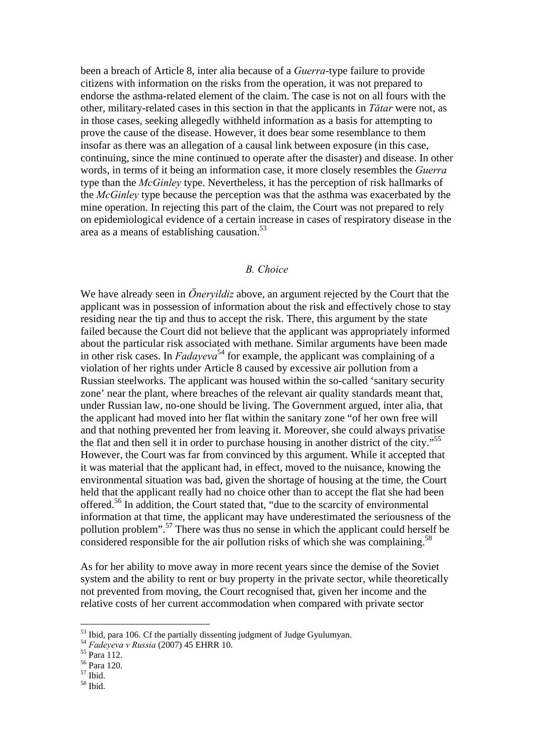been a breach of Article 8, inter alia because of a *Guerra*-type failure to provide citizens with information on the risks from the operation, it was not prepared to endorse the asthma-related element of the claim. The case is not on all fours with the other, military-related cases in this section in that the applicants in *Tǎtar* were not, as in those cases, seeking allegedly withheld information as a basis for attempting to prove the cause of the disease. However, it does bear some resemblance to them insofar as there was an allegation of a causal link between exposure (in this case, continuing, since the mine continued to operate after the disaster) and disease. In other words, in terms of it being an information case, it more closely resembles the *Guerra* type than the *McGinley* type. Nevertheless, it has the perception of risk hallmarks of the *McGinley* type because the perception was that the asthma was exacerbated by the mine operation. In rejecting this part of the claim, the Court was not prepared to rely on epidemiological evidence of a certain increase in cases of respiratory disease in the area as a means of establishing causation.<sup>53</sup>

### *B. Choice*

We have already seen in *Öneryildiz* above, an argument rejected by the Court that the applicant was in possession of information about the risk and effectively chose to stay residing near the tip and thus to accept the risk. There, this argument by the state failed because the Court did not believe that the applicant was appropriately informed about the particular risk associated with methane. Similar arguments have been made in other risk cases. In  $Fadayeva^{54}$  for example, the applicant was complaining of a violation of her rights under Article 8 caused by excessive air pollution from a Russian steelworks. The applicant was housed within the so-called 'sanitary security zone' near the plant, where breaches of the relevant air quality standards meant that, under Russian law, no-one should be living. The Government argued, inter alia, that the applicant had moved into her flat within the sanitary zone "of her own free will and that nothing prevented her from leaving it. Moreover, she could always privatise the flat and then sell it in order to purchase housing in another district of the city.<sup> $55$ </sup> However, the Court was far from convinced by this argument. While it accepted that it was material that the applicant had, in effect, moved to the nuisance, knowing the environmental situation was bad, given the shortage of housing at the time, the Court held that the applicant really had no choice other than to accept the flat she had been offered.56 In addition, the Court stated that, "due to the scarcity of environmental information at that time, the applicant may have underestimated the seriousness of the pollution problem".<sup>57</sup> There was thus no sense in which the applicant could herself be considered responsible for the air pollution risks of which she was complaining.<sup>58</sup>

As for her ability to move away in more recent years since the demise of the Soviet system and the ability to rent or buy property in the private sector, while theoretically not prevented from moving, the Court recognised that, given her income and the relative costs of her current accommodation when compared with private sector

 $\overline{a}$ 

 $^{58}$  Ibid.

<sup>&</sup>lt;sup>53</sup> Ibid, para 106. Cf the partially dissenting judgment of Judge Gyulumyan.

<sup>54</sup> *Fadeyeva v Russia* (2007) 45 EHRR 10. 55 Para 112.

<sup>56</sup> Para 120.

 $57$  Ibid.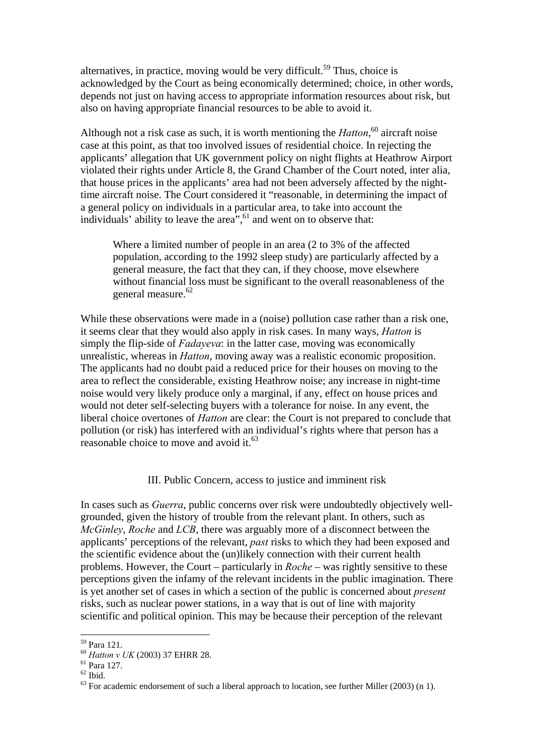alternatives, in practice, moving would be very difficult.<sup>59</sup> Thus, choice is acknowledged by the Court as being economically determined; choice, in other words, depends not just on having access to appropriate information resources about risk, but also on having appropriate financial resources to be able to avoid it.

Although not a risk case as such, it is worth mentioning the *Hatton*, 60 aircraft noise case at this point, as that too involved issues of residential choice. In rejecting the applicants' allegation that UK government policy on night flights at Heathrow Airport violated their rights under Article 8, the Grand Chamber of the Court noted, inter alia, that house prices in the applicants' area had not been adversely affected by the nighttime aircraft noise. The Court considered it "reasonable, in determining the impact of a general policy on individuals in a particular area, to take into account the individuals' ability to leave the area<sup>",  $61$ </sup> and went on to observe that:

Where a limited number of people in an area (2 to 3% of the affected population, according to the 1992 sleep study) are particularly affected by a general measure, the fact that they can, if they choose, move elsewhere without financial loss must be significant to the overall reasonableness of the general measure.<sup>62</sup>

While these observations were made in a (noise) pollution case rather than a risk one, it seems clear that they would also apply in risk cases. In many ways, *Hatton* is simply the flip-side of *Fadayeva*: in the latter case, moving was economically unrealistic, whereas in *Hatton*, moving away was a realistic economic proposition. The applicants had no doubt paid a reduced price for their houses on moving to the area to reflect the considerable, existing Heathrow noise; any increase in night-time noise would very likely produce only a marginal, if any, effect on house prices and would not deter self-selecting buyers with a tolerance for noise. In any event, the liberal choice overtones of *Hatton* are clear: the Court is not prepared to conclude that pollution (or risk) has interfered with an individual's rights where that person has a reasonable choice to move and avoid it. $^{63}$ 

III. Public Concern, access to justice and imminent risk

In cases such as *Guerra*, public concerns over risk were undoubtedly objectively wellgrounded, given the history of trouble from the relevant plant. In others, such as *McGinley*, *Roche* and *LCB*, there was arguably more of a disconnect between the applicants' perceptions of the relevant, *past* risks to which they had been exposed and the scientific evidence about the (un)likely connection with their current health problems. However, the Court – particularly in *Roche* – was rightly sensitive to these perceptions given the infamy of the relevant incidents in the public imagination. There is yet another set of cases in which a section of the public is concerned about *present* risks, such as nuclear power stations, in a way that is out of line with majority scientific and political opinion. This may be because their perception of the relevant

<sup>59</sup> Para 121.

<sup>60</sup> *Hatton v UK* (2003) 37 EHRR 28. 61 Para 127.

 $62$  Ibid.

 $63$  For academic endorsement of such a liberal approach to location, see further Miller (2003) (n 1).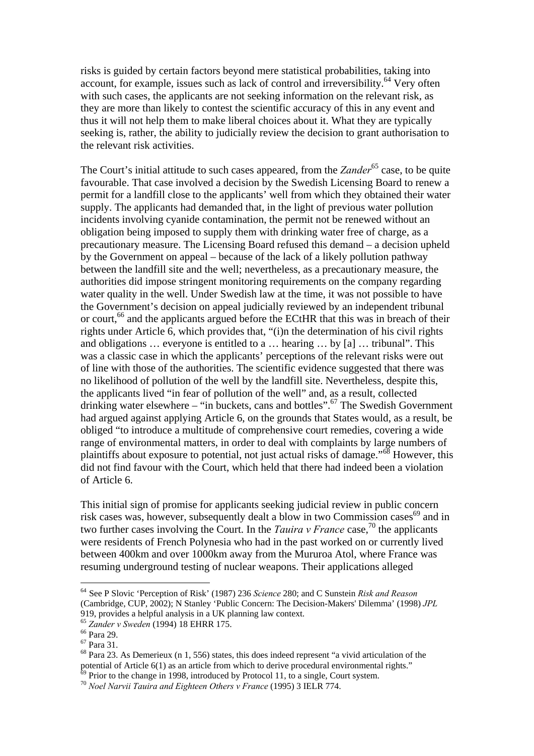risks is guided by certain factors beyond mere statistical probabilities, taking into account, for example, issues such as lack of control and irreversibility.<sup>64</sup> Very often with such cases, the applicants are not seeking information on the relevant risk, as they are more than likely to contest the scientific accuracy of this in any event and thus it will not help them to make liberal choices about it. What they are typically seeking is, rather, the ability to judicially review the decision to grant authorisation to the relevant risk activities.

The Court's initial attitude to such cases appeared, from the *Zander*<sup>65</sup> case, to be quite favourable. That case involved a decision by the Swedish Licensing Board to renew a permit for a landfill close to the applicants' well from which they obtained their water supply. The applicants had demanded that, in the light of previous water pollution incidents involving cyanide contamination, the permit not be renewed without an obligation being imposed to supply them with drinking water free of charge, as a precautionary measure. The Licensing Board refused this demand – a decision upheld by the Government on appeal – because of the lack of a likely pollution pathway between the landfill site and the well; nevertheless, as a precautionary measure, the authorities did impose stringent monitoring requirements on the company regarding water quality in the well. Under Swedish law at the time, it was not possible to have the Government's decision on appeal judicially reviewed by an independent tribunal or court,<sup>66</sup> and the applicants argued before the ECtHR that this was in breach of their rights under Article 6, which provides that, "(i)n the determination of his civil rights and obligations … everyone is entitled to a … hearing … by [a] … tribunal". This was a classic case in which the applicants' perceptions of the relevant risks were out of line with those of the authorities. The scientific evidence suggested that there was no likelihood of pollution of the well by the landfill site. Nevertheless, despite this, the applicants lived "in fear of pollution of the well" and, as a result, collected drinking water elsewhere – "in buckets, cans and bottles".<sup>67</sup> The Swedish Government had argued against applying Article 6, on the grounds that States would, as a result, be obliged "to introduce a multitude of comprehensive court remedies, covering a wide range of environmental matters, in order to deal with complaints by large numbers of plaintiffs about exposure to potential, not just actual risks of damage."68 However, this did not find favour with the Court, which held that there had indeed been a violation of Article 6.

This initial sign of promise for applicants seeking judicial review in public concern risk cases was, however, subsequently dealt a blow in two Commission cases<sup>69</sup> and in two further cases involving the Court. In the *Tauira v France* case,<sup>70</sup> the applicants were residents of French Polynesia who had in the past worked on or currently lived between 400km and over 1000km away from the Mururoa Atol, where France was resuming underground testing of nuclear weapons. Their applications alleged

<sup>64</sup> See P Slovic 'Perception of Risk' (1987) 236 *Science* 280; and C Sunstein *Risk and Reason* (Cambridge, CUP, 2002); N Stanley 'Public Concern: The Decision-Makers' Dilemma' (1998) *JPL*  919, provides a helpful analysis in a UK planning law context.

<sup>65</sup> *Zander v Sweden* (1994) 18 EHRR 175. 66 Para 29.

<sup>67</sup> Para 31.

<sup>&</sup>lt;sup>68</sup> Para 23. As Demerieux (n 1, 556) states, this does indeed represent "a vivid articulation of the potential of Article 6(1) as an article from which to derive procedural environmental rights."  $^{9}$  Prior to the change in 1998, introduced by Protocol 11, to a single, Court system.

<sup>70</sup> *Noel Narvii Tauira and Eighteen Others v France* (1995) 3 IELR 774.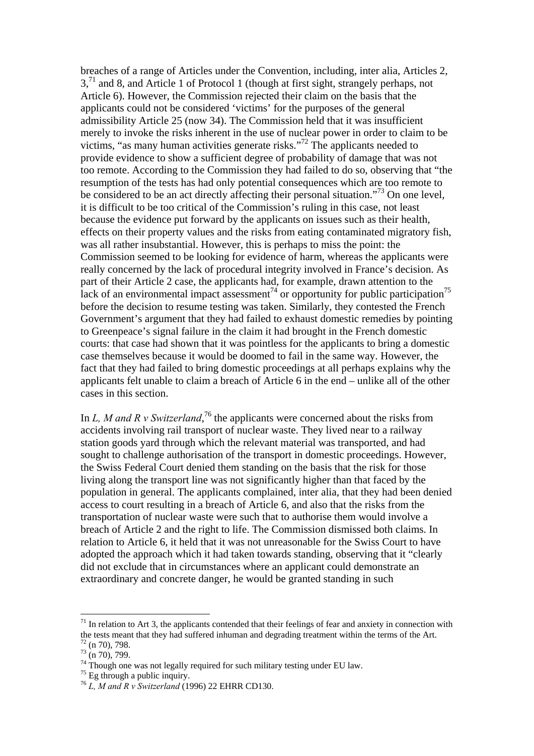breaches of a range of Articles under the Convention, including, inter alia, Articles 2, 3.<sup>71</sup> and 8, and Article 1 of Protocol 1 (though at first sight, strangely perhaps, not Article 6). However, the Commission rejected their claim on the basis that the applicants could not be considered 'victims' for the purposes of the general admissibility Article 25 (now 34). The Commission held that it was insufficient merely to invoke the risks inherent in the use of nuclear power in order to claim to be victims, "as many human activities generate risks."72 The applicants needed to provide evidence to show a sufficient degree of probability of damage that was not too remote. According to the Commission they had failed to do so, observing that "the resumption of the tests has had only potential consequences which are too remote to be considered to be an act directly affecting their personal situation."<sup>73</sup> On one level, it is difficult to be too critical of the Commission's ruling in this case, not least because the evidence put forward by the applicants on issues such as their health, effects on their property values and the risks from eating contaminated migratory fish, was all rather insubstantial. However, this is perhaps to miss the point: the Commission seemed to be looking for evidence of harm, whereas the applicants were really concerned by the lack of procedural integrity involved in France's decision. As part of their Article 2 case, the applicants had, for example, drawn attention to the lack of an environmental impact assessment<sup>74</sup> or opportunity for public participation<sup>75</sup> before the decision to resume testing was taken. Similarly, they contested the French Government's argument that they had failed to exhaust domestic remedies by pointing to Greenpeace's signal failure in the claim it had brought in the French domestic courts: that case had shown that it was pointless for the applicants to bring a domestic case themselves because it would be doomed to fail in the same way. However, the fact that they had failed to bring domestic proceedings at all perhaps explains why the applicants felt unable to claim a breach of Article 6 in the end – unlike all of the other cases in this section.

In *L*, *M* and *R v Switzerland*,<sup>76</sup> the applicants were concerned about the risks from accidents involving rail transport of nuclear waste. They lived near to a railway station goods yard through which the relevant material was transported, and had sought to challenge authorisation of the transport in domestic proceedings. However, the Swiss Federal Court denied them standing on the basis that the risk for those living along the transport line was not significantly higher than that faced by the population in general. The applicants complained, inter alia, that they had been denied access to court resulting in a breach of Article 6, and also that the risks from the transportation of nuclear waste were such that to authorise them would involve a breach of Article 2 and the right to life. The Commission dismissed both claims. In relation to Article 6, it held that it was not unreasonable for the Swiss Court to have adopted the approach which it had taken towards standing, observing that it "clearly did not exclude that in circumstances where an applicant could demonstrate an extraordinary and concrete danger, he would be granted standing in such

 $71$  In relation to Art 3, the applicants contended that their feelings of fear and anxiety in connection with the tests meant that they had suffered inhuman and degrading treatment within the terms of the Art.<br><sup>72</sup> (n 70), 798.

 $73$  (n 70), 799.

 $74$  Though one was not legally required for such military testing under EU law.

 $75$  Eg through a public inquiry.

<sup>76</sup> *L, M and R v Switzerland* (1996) 22 EHRR CD130.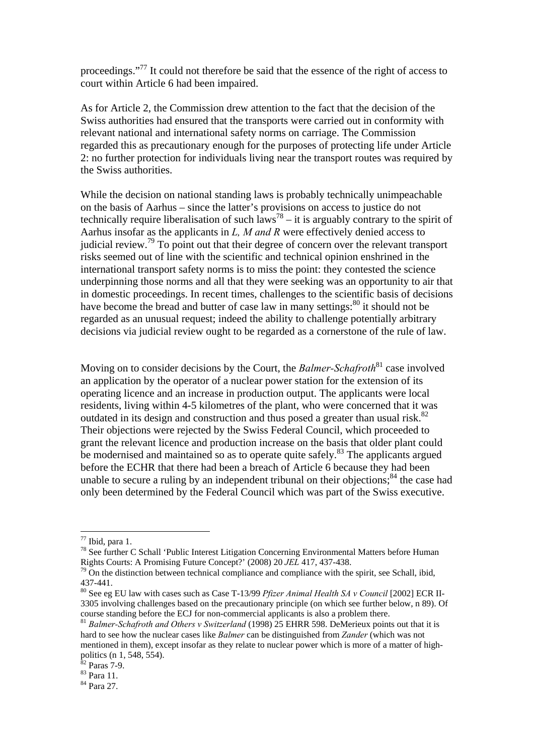proceedings."<sup>77</sup> It could not therefore be said that the essence of the right of access to court within Article 6 had been impaired.

As for Article 2, the Commission drew attention to the fact that the decision of the Swiss authorities had ensured that the transports were carried out in conformity with relevant national and international safety norms on carriage. The Commission regarded this as precautionary enough for the purposes of protecting life under Article 2: no further protection for individuals living near the transport routes was required by the Swiss authorities.

While the decision on national standing laws is probably technically unimpeachable on the basis of Aarhus – since the latter's provisions on access to justice do not technically require liberalisation of such  $1$  aws<sup>78</sup> – it is arguably contrary to the spirit of Aarhus insofar as the applicants in *L, M and R* were effectively denied access to judicial review.79 To point out that their degree of concern over the relevant transport risks seemed out of line with the scientific and technical opinion enshrined in the international transport safety norms is to miss the point: they contested the science underpinning those norms and all that they were seeking was an opportunity to air that in domestic proceedings. In recent times, challenges to the scientific basis of decisions have become the bread and butter of case law in many settings: $80$  it should not be regarded as an unusual request; indeed the ability to challenge potentially arbitrary decisions via judicial review ought to be regarded as a cornerstone of the rule of law.

Moving on to consider decisions by the Court, the *Balmer-Schafroth*<sup>81</sup> case involved an application by the operator of a nuclear power station for the extension of its operating licence and an increase in production output. The applicants were local residents, living within 4-5 kilometres of the plant, who were concerned that it was outdated in its design and construction and thus posed a greater than usual risk.<sup>82</sup> Their objections were rejected by the Swiss Federal Council, which proceeded to grant the relevant licence and production increase on the basis that older plant could be modernised and maintained so as to operate quite safely.<sup>83</sup> The applicants argued before the ECHR that there had been a breach of Article 6 because they had been unable to secure a ruling by an independent tribunal on their objections; $^{84}$  the case had only been determined by the Federal Council which was part of the Swiss executive.

 $77$  Ibid, para 1.

<sup>78</sup> See further C Schall 'Public Interest Litigation Concerning Environmental Matters before Human Rights Courts: A Promising Future Concept?' (2008) 20 *JEL* 417, 437-438.<br><sup>79</sup> On the distinction between technical compliance and compliance with the spirit, see Schall, ibid,

<sup>437-441.</sup> 

<sup>80</sup> See eg EU law with cases such as Case T-13/99 *Pfizer Animal Health SA v Council* [2002] ECR II-3305 involving challenges based on the precautionary principle (on which see further below, n 89). Of course standing before the ECJ for non-commercial applicants is also a problem there.

<sup>&</sup>lt;sup>81</sup> Balmer-Schafroth and Others v Switzerland (1998) 25 EHRR 598. DeMerieux points out that it is hard to see how the nuclear cases like *Balmer* can be distinguished from *Zander* (which was not mentioned in them), except insofar as they relate to nuclear power which is more of a matter of highpolitics (n 1, 548, 554).

 $82$  Paras 7-9.

<sup>83</sup> Para 11.

<sup>84</sup> Para 27.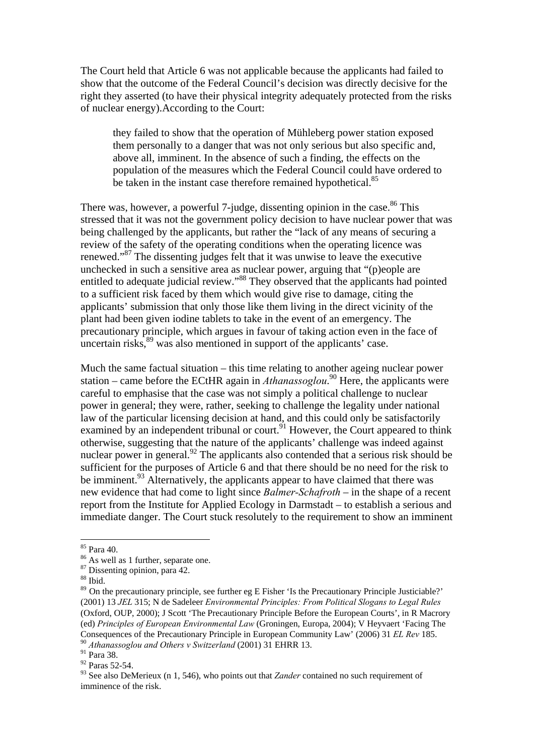The Court held that Article 6 was not applicable because the applicants had failed to show that the outcome of the Federal Council's decision was directly decisive for the right they asserted (to have their physical integrity adequately protected from the risks of nuclear energy).According to the Court:

they failed to show that the operation of Mühleberg power station exposed them personally to a danger that was not only serious but also specific and, above all, imminent. In the absence of such a finding, the effects on the population of the measures which the Federal Council could have ordered to be taken in the instant case therefore remained hypothetical.<sup>85</sup>

There was, however, a powerful 7-judge, dissenting opinion in the case.<sup>86</sup> This stressed that it was not the government policy decision to have nuclear power that was being challenged by the applicants, but rather the "lack of any means of securing a review of the safety of the operating conditions when the operating licence was renewed."87 The dissenting judges felt that it was unwise to leave the executive unchecked in such a sensitive area as nuclear power, arguing that "(p)eople are entitled to adequate judicial review."88 They observed that the applicants had pointed to a sufficient risk faced by them which would give rise to damage, citing the applicants' submission that only those like them living in the direct vicinity of the plant had been given iodine tablets to take in the event of an emergency. The precautionary principle, which argues in favour of taking action even in the face of uncertain risks, $89$  was also mentioned in support of the applicants' case.

Much the same factual situation – this time relating to another ageing nuclear power station – came before the ECtHR again in *Athanassoglou*.<sup>90</sup> Here, the applicants were careful to emphasise that the case was not simply a political challenge to nuclear power in general; they were, rather, seeking to challenge the legality under national law of the particular licensing decision at hand, and this could only be satisfactorily examined by an independent tribunal or court.<sup>91</sup> However, the Court appeared to think otherwise, suggesting that the nature of the applicants' challenge was indeed against nuclear power in general.<sup>92</sup> The applicants also contended that a serious risk should be sufficient for the purposes of Article 6 and that there should be no need for the risk to be imminent.<sup>93</sup> Alternatively, the applicants appear to have claimed that there was new evidence that had come to light since *Balmer-Schafroth* – in the shape of a recent report from the Institute for Applied Ecology in Darmstadt – to establish a serious and immediate danger. The Court stuck resolutely to the requirement to show an imminent

<sup>85</sup> Para 40.

<sup>&</sup>lt;sup>86</sup> As well as 1 further, separate one.

<sup>87</sup> Dissenting opinion, para 42.

 $^{88}$  Ibid.

<sup>&</sup>lt;sup>89</sup> On the precautionary principle, see further eg E Fisher 'Is the Precautionary Principle Justiciable?' (2001) 13 *JEL* 315; N de Sadeleer *Environmental Principles: From Political Slogans to Legal Rules* (Oxford, OUP, 2000); J Scott 'The Precautionary Principle Before the European Courts', in R Macrory (ed) *Principles of European Environmental Law* (Groningen, Europa, 2004); V Heyvaert 'Facing The Consequences of the Precautionary Principle in European Community Law' (2006) 31 *EL Rev* 185. <sup>90</sup> *Athanassoglou and Others v Switzerland* (2001) 31 EHRR 13.

<sup>91</sup> Para 38.

<sup>92</sup> Paras 52-54.

<sup>&</sup>lt;sup>93</sup> See also DeMerieux (n 1, 546), who points out that *Zander* contained no such requirement of imminence of the risk.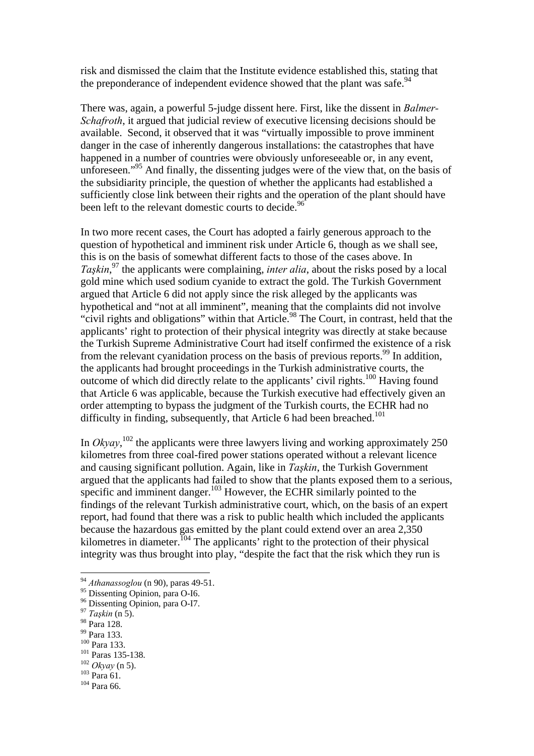risk and dismissed the claim that the Institute evidence established this, stating that the preponderance of independent evidence showed that the plant was safe.<sup>94</sup>

There was, again, a powerful 5-judge dissent here. First, like the dissent in *Balmer-Schafroth*, it argued that judicial review of executive licensing decisions should be available. Second, it observed that it was "virtually impossible to prove imminent danger in the case of inherently dangerous installations: the catastrophes that have happened in a number of countries were obviously unforeseeable or, in any event, unforeseen."<sup>95</sup> And finally, the dissenting judges were of the view that, on the basis of the subsidiarity principle, the question of whether the applicants had established a sufficiently close link between their rights and the operation of the plant should have been left to the relevant domestic courts to decide.<sup>96</sup>

In two more recent cases, the Court has adopted a fairly generous approach to the question of hypothetical and imminent risk under Article 6, though as we shall see, this is on the basis of somewhat different facts to those of the cases above. In *Taşkin*, 97 the applicants were complaining, *inter alia*, about the risks posed by a local gold mine which used sodium cyanide to extract the gold. The Turkish Government argued that Article 6 did not apply since the risk alleged by the applicants was hypothetical and "not at all imminent", meaning that the complaints did not involve "civil rights and obligations" within that Article.<sup>98</sup> The Court, in contrast, held that the applicants' right to protection of their physical integrity was directly at stake because the Turkish Supreme Administrative Court had itself confirmed the existence of a risk from the relevant cyanidation process on the basis of previous reports.<sup>99</sup> In addition, the applicants had brought proceedings in the Turkish administrative courts, the outcome of which did directly relate to the applicants' civil rights.<sup>100</sup> Having found that Article 6 was applicable, because the Turkish executive had effectively given an order attempting to bypass the judgment of the Turkish courts, the ECHR had no difficulty in finding, subsequently, that Article 6 had been breached.<sup>101</sup>

In *Okyay*,<sup>102</sup> the applicants were three lawyers living and working approximately 250 kilometres from three coal-fired power stations operated without a relevant licence and causing significant pollution. Again, like in *Taşkin*, the Turkish Government argued that the applicants had failed to show that the plants exposed them to a serious, specific and imminent danger.<sup>103</sup> However, the ECHR similarly pointed to the findings of the relevant Turkish administrative court, which, on the basis of an expert report, had found that there was a risk to public health which included the applicants because the hazardous gas emitted by the plant could extend over an area 2,350 kilometres in diameter.<sup>104</sup> The applicants' right to the protection of their physical integrity was thus brought into play, "despite the fact that the risk which they run is

- $\frac{99}{100}$  Para 133.
- 

<sup>94</sup> *Athanassoglou* (n 90), paras 49-51.

<sup>&</sup>lt;sup>95</sup> Dissenting Opinion, para O-I6.

<sup>96</sup> Dissenting Opinion, para O-I7.

<sup>97</sup> *Taşkin* (n 5).

<sup>98</sup> Para 128.

<sup>101</sup> Paras 135-138.<br>
<sup>102</sup> *Okyay* (n 5).<br>
<sup>103</sup> Para 61.<br>
<sup>104</sup> Para 66.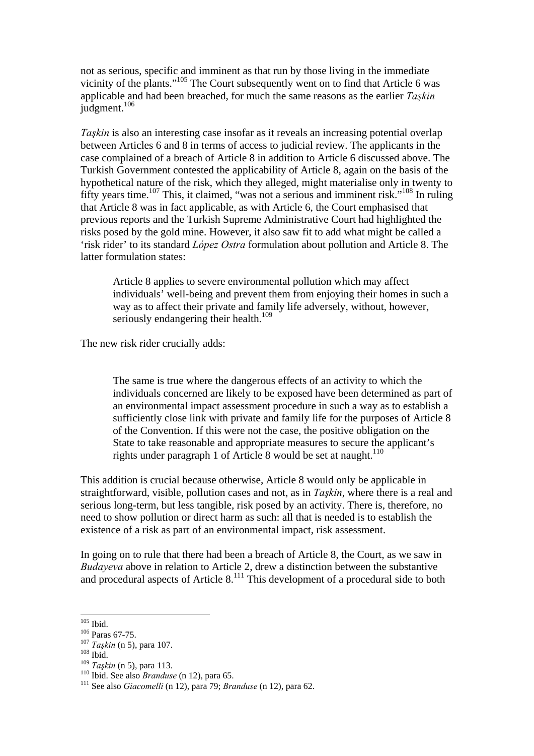not as serious, specific and imminent as that run by those living in the immediate vicinity of the plants."105 The Court subsequently went on to find that Article 6 was applicable and had been breached, for much the same reasons as the earlier *Taşkin* judgment.<sup>106</sup>

*Taşkin* is also an interesting case insofar as it reveals an increasing potential overlap between Articles 6 and 8 in terms of access to judicial review. The applicants in the case complained of a breach of Article 8 in addition to Article 6 discussed above. The Turkish Government contested the applicability of Article 8, again on the basis of the hypothetical nature of the risk, which they alleged, might materialise only in twenty to fifty years time.107 This, it claimed, "was not a serious and imminent risk."108 In ruling that Article 8 was in fact applicable, as with Article 6, the Court emphasised that previous reports and the Turkish Supreme Administrative Court had highlighted the risks posed by the gold mine. However, it also saw fit to add what might be called a 'risk rider' to its standard *López Ostra* formulation about pollution and Article 8. The latter formulation states:

Article 8 applies to severe environmental pollution which may affect individuals' well-being and prevent them from enjoying their homes in such a way as to affect their private and family life adversely, without, however, seriously endangering their health.<sup>109</sup>

The new risk rider crucially adds:

The same is true where the dangerous effects of an activity to which the individuals concerned are likely to be exposed have been determined as part of an environmental impact assessment procedure in such a way as to establish a sufficiently close link with private and family life for the purposes of Article 8 of the Convention. If this were not the case, the positive obligation on the State to take reasonable and appropriate measures to secure the applicant's rights under paragraph 1 of Article 8 would be set at naught.<sup>110</sup>

This addition is crucial because otherwise, Article 8 would only be applicable in straightforward, visible, pollution cases and not, as in *Taşkin*, where there is a real and serious long-term, but less tangible, risk posed by an activity. There is, therefore, no need to show pollution or direct harm as such: all that is needed is to establish the existence of a risk as part of an environmental impact, risk assessment.

In going on to rule that there had been a breach of Article 8, the Court, as we saw in *Budayeva* above in relation to Article 2, drew a distinction between the substantive and procedural aspects of Article 8.<sup>111</sup> This development of a procedural side to both

 $^{105}$  Ibid.

<sup>106</sup> Paras 67-75.<br>
<sup>107</sup> *Taşkin* (n 5), para 107.<br>
<sup>109</sup> *Taskin* (n 5), para 113.

<sup>109</sup> *Taşkin* (n 5), para 113. 110 Ibid. See also *Branduse* (n 12), para 65. 111 See also *Giacomelli* (n 12), para 79; *Branduse* (n 12), para 62.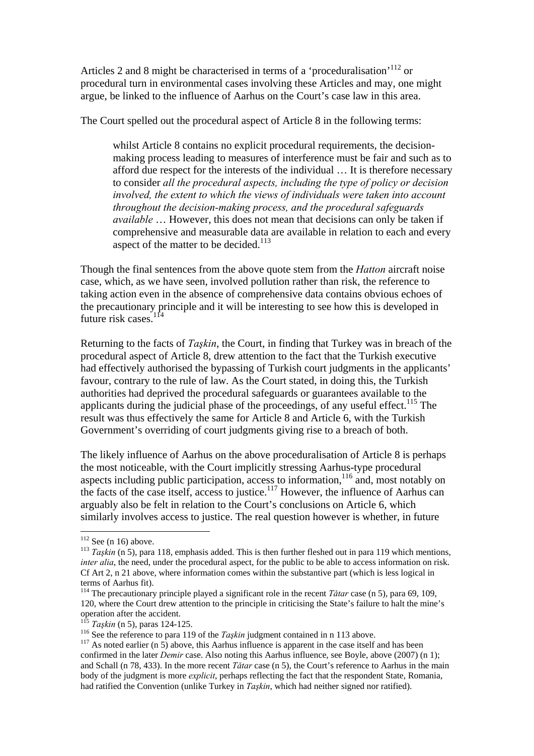Articles 2 and 8 might be characterised in terms of a 'proceduralisation'<sup>112</sup> or procedural turn in environmental cases involving these Articles and may, one might argue, be linked to the influence of Aarhus on the Court's case law in this area.

The Court spelled out the procedural aspect of Article 8 in the following terms:

whilst Article 8 contains no explicit procedural requirements, the decisionmaking process leading to measures of interference must be fair and such as to afford due respect for the interests of the individual … It is therefore necessary to consider *all the procedural aspects, including the type of policy or decision involved, the extent to which the views of individuals were taken into account throughout the decision-making process, and the procedural safeguards available* … However, this does not mean that decisions can only be taken if comprehensive and measurable data are available in relation to each and every aspect of the matter to be decided.<sup>113</sup>

Though the final sentences from the above quote stem from the *Hatton* aircraft noise case, which, as we have seen, involved pollution rather than risk, the reference to taking action even in the absence of comprehensive data contains obvious echoes of the precautionary principle and it will be interesting to see how this is developed in future risk cases.<sup>114</sup>

Returning to the facts of *Taşkin*, the Court, in finding that Turkey was in breach of the procedural aspect of Article 8, drew attention to the fact that the Turkish executive had effectively authorised the bypassing of Turkish court judgments in the applicants' favour, contrary to the rule of law. As the Court stated, in doing this, the Turkish authorities had deprived the procedural safeguards or guarantees available to the applicants during the judicial phase of the proceedings, of any useful effect.<sup>115</sup> The result was thus effectively the same for Article 8 and Article 6, with the Turkish Government's overriding of court judgments giving rise to a breach of both.

The likely influence of Aarhus on the above proceduralisation of Article 8 is perhaps the most noticeable, with the Court implicitly stressing Aarhus-type procedural aspects including public participation, access to information,  $116$  and, most notably on the facts of the case itself, access to justice.<sup>117</sup> However, the influence of Aarhus can arguably also be felt in relation to the Court's conclusions on Article 6, which similarly involves access to justice. The real question however is whether, in future

 $112$  See (n 16) above.

 $113$  Ta<sub>s</sub> $\vec{k}$ in (n 5), para 118, emphasis added. This is then further fleshed out in para 119 which mentions, *inter alia*, the need, under the procedural aspect, for the public to be able to access information on risk. Cf Art 2, n 21 above, where information comes within the substantive part (which is less logical in terms of Aarhus fit).

<sup>114</sup> The precautionary principle played a significant role in the recent *Tǎtar* case (n 5), para 69, 109, 120, where the Court drew attention to the principle in criticising the State's failure to halt the mine's operation after the accident.<br> $\frac{115}{115}$  Taskin (n 5), paras 124-125.

<sup>&</sup>lt;sup>116</sup> See the reference to para 119 of the *Taşkin* judgment contained in n 113 above.<br><sup>117</sup> As noted earlier (n 5) above, this Aarhus influence is apparent in the case itself and has been confirmed in the later *Demir* case. Also noting this Aarhus influence, see Boyle, above (2007) (n 1); and Schall (n 78, 433). In the more recent *Tǎtar* case (n 5), the Court's reference to Aarhus in the main body of the judgment is more *explicit*, perhaps reflecting the fact that the respondent State, Romania, had ratified the Convention (unlike Turkey in *Taşkin*, which had neither signed nor ratified).